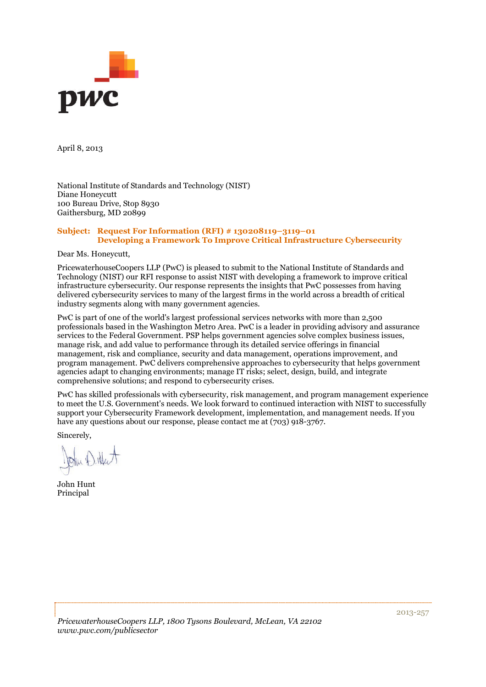

April 8, 2013

National Institute of Standards and Technology (NIST) Diane Honeycutt 100 Bureau Drive, Stop 8930 Gaithersburg, MD 20899

#### **Subject: Request For Information (RFI) # 130208119–3119–01 Developing a Framework To Improve Critical Infrastructure Cybersecurity**

Dear Ms. Honeycutt,

PricewaterhouseCoopers LLP (PwC) is pleased to submit to the National Institute of Standards and Technology (NIST) our RFI response to assist NIST with developing a framework to improve critical infrastructure cybersecurity. Our response represents the insights that PwC possesses from having delivered cybersecurity services to many of the largest firms in the world across a breadth of critical industry segments along with many government agencies.

PwC is part of one of the world's largest professional services networks with more than 2,500 professionals based in the Washington Metro Area. PwC is a leader in providing advisory and assurance services to the Federal Government. PSP helps government agencies solve complex business issues, manage risk, and add value to performance through its detailed service offerings in financial management, risk and compliance, security and data management, operations improvement, and program management. PwC delivers comprehensive approaches to cybersecurity that helps government agencies adapt to changing environments; manage IT risks; select, design, build, and integrate comprehensive solutions; and respond to cybersecurity crises.

PwC has skilled professionals with cybersecurity, risk management, and program management experience to meet the U.S. Government's needs. We look forward to continued interaction with NIST to successfully support your Cybersecurity Framework development, implementation, and management needs. If you have any questions about our response, please contact me at (703) 918-3767.

Sincerely,

John Ditter

John Hunt Principal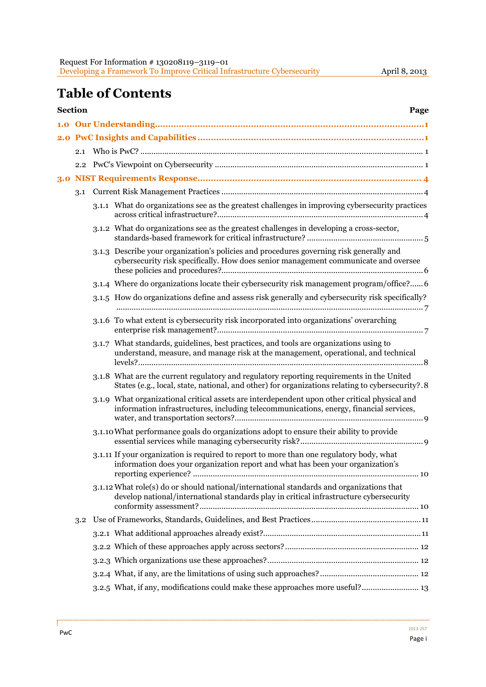# **Table of Contents**

| Section<br>Page |     |  |                                                                                                                                                                                              |  |  |
|-----------------|-----|--|----------------------------------------------------------------------------------------------------------------------------------------------------------------------------------------------|--|--|
|                 |     |  |                                                                                                                                                                                              |  |  |
|                 |     |  |                                                                                                                                                                                              |  |  |
|                 | 2.1 |  |                                                                                                                                                                                              |  |  |
|                 | 2.2 |  |                                                                                                                                                                                              |  |  |
| 3.0             |     |  |                                                                                                                                                                                              |  |  |
|                 | 3.1 |  |                                                                                                                                                                                              |  |  |
|                 |     |  | 3.1.1 What do organizations see as the greatest challenges in improving cybersecurity practices                                                                                              |  |  |
|                 |     |  | 3.1.2 What do organizations see as the greatest challenges in developing a cross-sector,                                                                                                     |  |  |
|                 |     |  | 3.1.3 Describe your organization's policies and procedures governing risk generally and<br>cybersecurity risk specifically. How does senior management communicate and oversee               |  |  |
|                 |     |  | 3.1.4 Where do organizations locate their cybersecurity risk management program/office? 6                                                                                                    |  |  |
|                 |     |  | 3.1.5 How do organizations define and assess risk generally and cybersecurity risk specifically?                                                                                             |  |  |
|                 |     |  | 3.1.6 To what extent is cybersecurity risk incorporated into organizations' overarching                                                                                                      |  |  |
|                 |     |  | 3.1.7 What standards, guidelines, best practices, and tools are organizations using to<br>understand, measure, and manage risk at the management, operational, and technical                 |  |  |
|                 |     |  | 3.1.8 What are the current regulatory and regulatory reporting requirements in the United<br>States (e.g., local, state, national, and other) for organizations relating to cybersecurity?.8 |  |  |
|                 |     |  | 3.1.9 What organizational critical assets are interdependent upon other critical physical and<br>information infrastructures, including telecommunications, energy, financial services,      |  |  |
|                 |     |  | 3.1.10 What performance goals do organizations adopt to ensure their ability to provide                                                                                                      |  |  |
|                 |     |  | 3.1.11 If your organization is required to report to more than one regulatory body, what<br>information does your organization report and what has been your organization's                  |  |  |
|                 |     |  | 3.1.12 What role(s) do or should national/international standards and organizations that<br>develop national/international standards play in critical infrastructure cybersecurity           |  |  |
|                 | 3.2 |  |                                                                                                                                                                                              |  |  |
|                 |     |  |                                                                                                                                                                                              |  |  |
|                 |     |  |                                                                                                                                                                                              |  |  |
|                 |     |  |                                                                                                                                                                                              |  |  |
|                 |     |  |                                                                                                                                                                                              |  |  |
|                 |     |  | 3.2.5 What, if any, modifications could make these approaches more useful? 13                                                                                                                |  |  |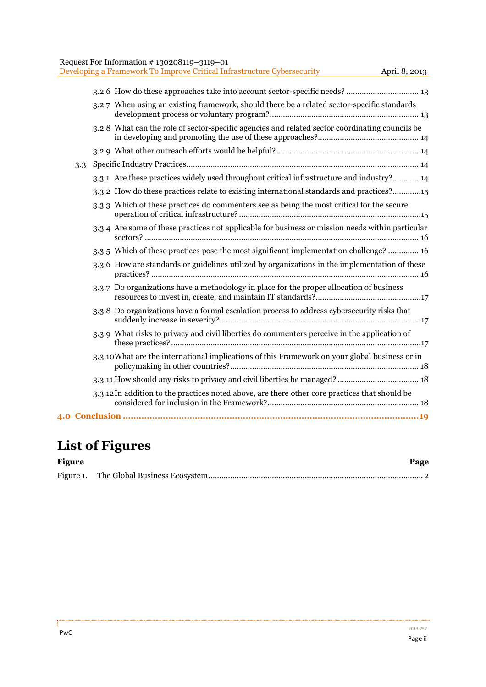| Request For Information #130208119-3119-01 |  |
|--------------------------------------------|--|
|--------------------------------------------|--|

|     | Developing a Framework To Improve Critical Infrastructure Cybersecurity<br>April 8, 2013         |
|-----|--------------------------------------------------------------------------------------------------|
|     |                                                                                                  |
|     | 3.2.7 When using an existing framework, should there be a related sector-specific standards      |
|     | 3.2.8 What can the role of sector-specific agencies and related sector coordinating councils be  |
|     |                                                                                                  |
| 3.3 |                                                                                                  |
|     | 3.3.1 Are these practices widely used throughout critical infrastructure and industry? 14        |
|     | 3.3.2 How do these practices relate to existing international standards and practices?15         |
|     | 3.3.3 Which of these practices do commenters see as being the most critical for the secure       |
|     | 3.3.4 Are some of these practices not applicable for business or mission needs within particular |
|     | 3.3.5 Which of these practices pose the most significant implementation challenge? 16            |
|     | 3.3.6 How are standards or guidelines utilized by organizations in the implementation of these   |
|     | 3.3.7 Do organizations have a methodology in place for the proper allocation of business         |
|     | 3.3.8 Do organizations have a formal escalation process to address cybersecurity risks that      |
|     | 3.3.9 What risks to privacy and civil liberties do commenters perceive in the application of     |
|     | 3.3.10 What are the international implications of this Framework on your global business or in   |
|     |                                                                                                  |
|     | 3.3.12 In addition to the practices noted above, are there other core practices that should be   |
|     |                                                                                                  |

# **List of Figures**

| <b>Figure</b> | Page |
|---------------|------|
|               |      |

f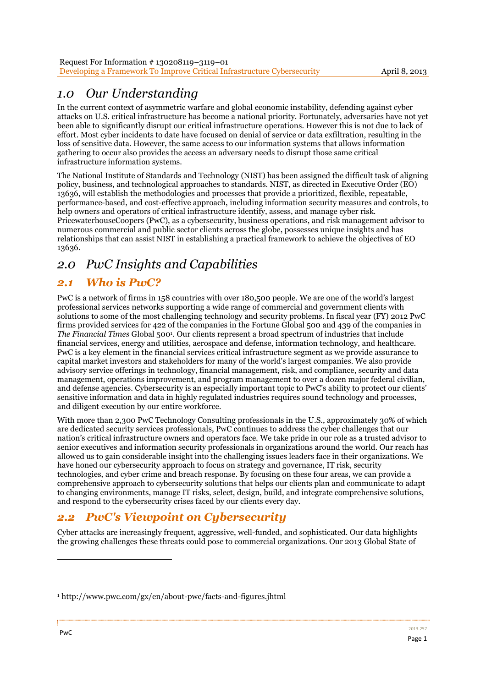# *1.0 Our Understanding*

In the current context of asymmetric warfare and global economic instability, defending against cyber attacks on U.S. critical infrastructure has become a national priority. Fortunately, adversaries have not yet been able to significantly disrupt our critical infrastructure operations. However this is not due to lack of effort. Most cyber incidents to date have focused on denial of service or data exfiltration, resulting in the loss of sensitive data. However, the same access to our information systems that allows information gathering to occur also provides the access an adversary needs to disrupt those same critical infrastructure information systems.

The National Institute of Standards and Technology (NIST) has been assigned the difficult task of aligning policy, business, and technological approaches to standards. NIST, as directed in Executive Order (EO) 13636, will establish the methodologies and processes that provide a prioritized, flexible, repeatable, performance-based, and cost-effective approach, including information security measures and controls, to help owners and operators of critical infrastructure identify, assess, and manage cyber risk. PricewaterhouseCoopers (PwC), as a cybersecurity, business operations, and risk management advisor to numerous commercial and public sector clients across the globe, possesses unique insights and has relationships that can assist NIST in establishing a practical framework to achieve the objectives of EO 13636.

# *2.0 PwC Insights and Capabilities*

# *2.1 Who is PwC?*

PwC is a network of firms in 158 countries with over 180,500 people. We are one of the world's largest professional services networks supporting a wide range of commercial and government clients with solutions to some of the most challenging technology and security problems. In fiscal year (FY) 2012 PwC firms provided services for 422 of the companies in the Fortune Global 500 and 439 of the companies in *The Financial Times* Global 5001. Our clients represent a broad spectrum of industries that include financial services, energy and utilities, aerospace and defense, information technology, and healthcare. PwC is a key element in the financial services critical infrastructure segment as we provide assurance to capital market investors and stakeholders for many of the world's largest companies. We also provide advisory service offerings in technology, financial management, risk, and compliance, security and data management, operations improvement, and program management to over a dozen major federal civilian, and defense agencies. Cybersecurity is an especially important topic to PwC's ability to protect our clients' sensitive information and data in highly regulated industries requires sound technology and processes, and diligent execution by our entire workforce.

With more than 2,300 PwC Technology Consulting professionals in the U.S., approximately 30% of which are dedicated security services professionals, PwC continues to address the cyber challenges that our nation's critical infrastructure owners and operators face. We take pride in our role as a trusted advisor to senior executives and information security professionals in organizations around the world. Our reach has allowed us to gain considerable insight into the challenging issues leaders face in their organizations. We have honed our cybersecurity approach to focus on strategy and governance, IT risk, security technologies, and cyber crime and breach response. By focusing on these four areas, we can provide a comprehensive approach to cybersecurity solutions that helps our clients plan and communicate to adapt to changing environments, manage IT risks, select, design, build, and integrate comprehensive solutions, and respond to the cybersecurity crises faced by our clients every day.

## *2.2 PwC's Viewpoint on Cybersecurity*

Cyber attacks are increasingly frequent, aggressive, well-funded, and sophisticated. Our data highlights the growing challenges these threats could pose to commercial organizations. Our 2013 Global State of

<sup>1</sup> http://www.pwc.com/gx/en/about-pwc/facts-and-figures.jhtml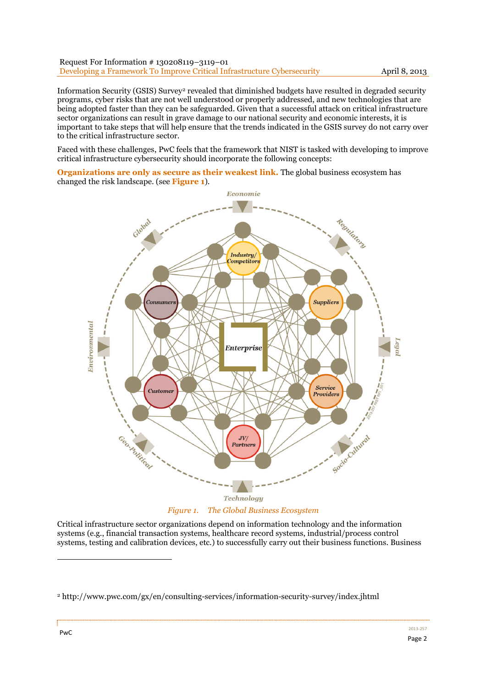Information Security (GSIS) Survey2 revealed that diminished budgets have resulted in degraded security programs, cyber risks that are not well understood or properly addressed, and new technologies that are being adopted faster than they can be safeguarded. Given that a successful attack on critical infrastructure sector organizations can result in grave damage to our national security and economic interests, it is important to take steps that will help ensure that the trends indicated in the GSIS survey do not carry over to the critical infrastructure sector.

Faced with these challenges, PwC feels that the framework that NIST is tasked with developing to improve critical infrastructure cybersecurity should incorporate the following concepts:

**Organizations are only as secure as their weakest link.** The global business ecosystem has changed the risk landscape. (see **Figure 1**).



*Figure 1. The Global Business Ecosystem* 

Critical infrastructure sector organizations depend on information technology and the information systems (e.g., financial transaction systems, healthcare record systems, industrial/process control systems, testing and calibration devices, etc.) to successfully carry out their business functions. Business

<sup>2</sup> http://www.pwc.com/gx/en/consulting-services/information-security-survey/index.jhtml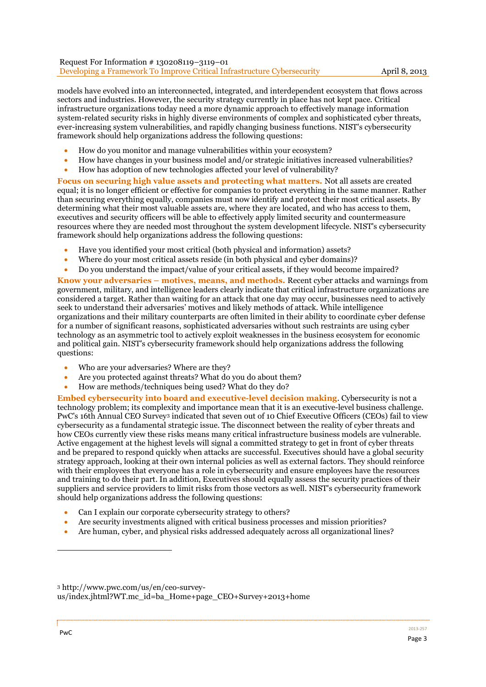models have evolved into an interconnected, integrated, and interdependent ecosystem that flows across sectors and industries. However, the security strategy currently in place has not kept pace. Critical infrastructure organizations today need a more dynamic approach to effectively manage information system-related security risks in highly diverse environments of complex and sophisticated cyber threats, ever-increasing system vulnerabilities, and rapidly changing business functions. NIST's cybersecurity framework should help organizations address the following questions:

- How do you monitor and manage vulnerabilities within your ecosystem?
- How have changes in your business model and/or strategic initiatives increased vulnerabilities?
- How has adoption of new technologies affected your level of vulnerability?

**Focus on securing high value assets and protecting what matters.** Not all assets are created equal; it is no longer efficient or effective for companies to protect everything in the same manner. Rather than securing everything equally, companies must now identify and protect their most critical assets. By determining what their most valuable assets are, where they are located, and who has access to them, executives and security officers will be able to effectively apply limited security and countermeasure resources where they are needed most throughout the system development lifecycle. NIST's cybersecurity framework should help organizations address the following questions:

- Have you identified your most critical (both physical and information) assets?
- Where do your most critical assets reside (in both physical and cyber domains)?
- Do you understand the impact/value of your critical assets, if they would become impaired?

**Know your adversaries – motives, means, and methods.** Recent cyber attacks and warnings from government, military, and intelligence leaders clearly indicate that critical infrastructure organizations are considered a target. Rather than waiting for an attack that one day may occur, businesses need to actively seek to understand their adversaries' motives and likely methods of attack. While intelligence organizations and their military counterparts are often limited in their ability to coordinate cyber defense for a number of significant reasons, sophisticated adversaries without such restraints are using cyber technology as an asymmetric tool to actively exploit weaknesses in the business ecosystem for economic and political gain. NIST's cybersecurity framework should help organizations address the following questions:

- Who are your adversaries? Where are they?
- Are you protected against threats? What do you do about them?
- How are methods/techniques being used? What do they do?

**Embed cybersecurity into board and executive-level decision making**. Cybersecurity is not a technology problem; its complexity and importance mean that it is an executive-level business challenge. PwC's 16th Annual CEO Survey3 indicated that seven out of 10 Chief Executive Officers (CEOs) fail to view cybersecurity as a fundamental strategic issue. The disconnect between the reality of cyber threats and how CEOs currently view these risks means many critical infrastructure business models are vulnerable. Active engagement at the highest levels will signal a committed strategy to get in front of cyber threats and be prepared to respond quickly when attacks are successful. Executives should have a global security strategy approach, looking at their own internal policies as well as external factors. They should reinforce with their employees that everyone has a role in cybersecurity and ensure employees have the resources and training to do their part. In addition, Executives should equally assess the security practices of their suppliers and service providers to limit risks from those vectors as well. NIST's cybersecurity framework should help organizations address the following questions:

- Can I explain our corporate cybersecurity strategy to others?
- Are security investments aligned with critical business processes and mission priorities?
- Are human, cyber, and physical risks addressed adequately across all organizational lines?

3 http://www.pwc.com/us/en/ceo-surveyus/index.jhtml?WT.mc\_id=ba\_Home+page\_CEO+Survey+2013+home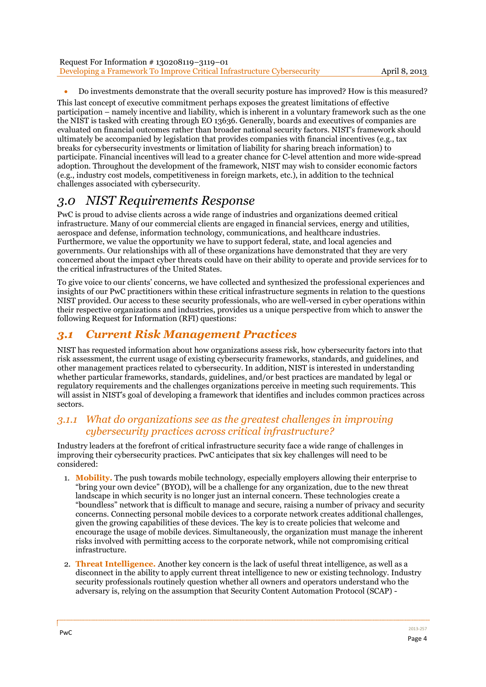| Request For Information #130208119-3119-01                              |
|-------------------------------------------------------------------------|
| Developing a Framework To Improve Critical Infrastructure Cybersecurity |

Do investments demonstrate that the overall security posture has improved? How is this measured?

This last concept of executive commitment perhaps exposes the greatest limitations of effective participation – namely incentive and liability, which is inherent in a voluntary framework such as the one the NIST is tasked with creating through EO 13636. Generally, boards and executives of companies are evaluated on financial outcomes rather than broader national security factors. NIST's framework should ultimately be accompanied by legislation that provides companies with financial incentives (e.g., tax breaks for cybersecurity investments or limitation of liability for sharing breach information) to participate. Financial incentives will lead to a greater chance for C-level attention and more wide-spread adoption. Throughout the development of the framework, NIST may wish to consider economic factors (e.g., industry cost models, competitiveness in foreign markets, etc.), in addition to the technical challenges associated with cybersecurity.

## *3.0 NIST Requirements Response*

PwC is proud to advise clients across a wide range of industries and organizations deemed critical infrastructure. Many of our commercial clients are engaged in financial services, energy and utilities, aerospace and defense, information technology, communications, and healthcare industries. Furthermore, we value the opportunity we have to support federal, state, and local agencies and governments. Our relationships with all of these organizations have demonstrated that they are very concerned about the impact cyber threats could have on their ability to operate and provide services for to the critical infrastructures of the United States.

To give voice to our clients' concerns, we have collected and synthesized the professional experiences and insights of our PwC practitioners within these critical infrastructure segments in relation to the questions NIST provided. Our access to these security professionals, who are well-versed in cyber operations within their respective organizations and industries, provides us a unique perspective from which to answer the following Request for Information (RFI) questions:

### *3.1 Current Risk Management Practices*

NIST has requested information about how organizations assess risk, how cybersecurity factors into that risk assessment, the current usage of existing cybersecurity frameworks, standards, and guidelines, and other management practices related to cybersecurity. In addition, NIST is interested in understanding whether particular frameworks, standards, guidelines, and/or best practices are mandated by legal or regulatory requirements and the challenges organizations perceive in meeting such requirements. This will assist in NIST's goal of developing a framework that identifies and includes common practices across sectors.

### *3.1.1 What do organizations see as the greatest challenges in improving cybersecurity practices across critical infrastructure?*

Industry leaders at the forefront of critical infrastructure security face a wide range of challenges in improving their cybersecurity practices. PwC anticipates that six key challenges will need to be considered:

- 1. **Mobility.** The push towards mobile technology, especially employers allowing their enterprise to "bring your own device" (BYOD), will be a challenge for any organization, due to the new threat landscape in which security is no longer just an internal concern. These technologies create a "boundless" network that is difficult to manage and secure, raising a number of privacy and security concerns. Connecting personal mobile devices to a corporate network creates additional challenges, given the growing capabilities of these devices. The key is to create policies that welcome and encourage the usage of mobile devices. Simultaneously, the organization must manage the inherent risks involved with permitting access to the corporate network, while not compromising critical infrastructure.
- 2. **Threat Intelligence.** Another key concern is the lack of useful threat intelligence, as well as a disconnect in the ability to apply current threat intelligence to new or existing technology. Industry security professionals routinely question whether all owners and operators understand who the adversary is, relying on the assumption that Security Content Automation Protocol (SCAP) -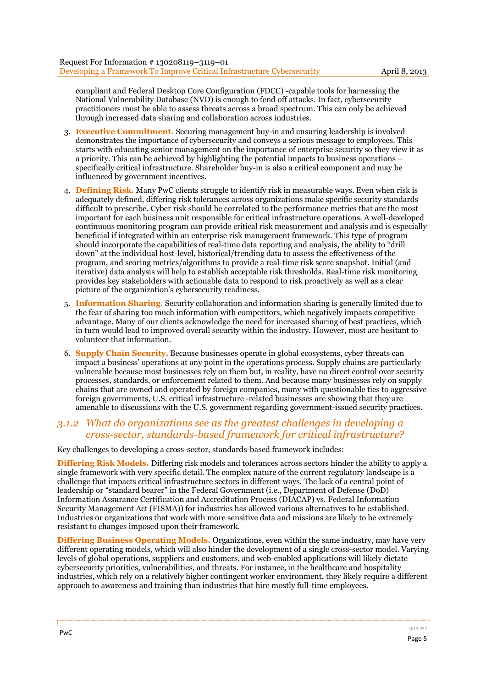compliant and Federal Desktop Core Configuration (FDCC) -capable tools for harnessing the National Vulnerability Database (NVD) is enough to fend off attacks. In fact, cybersecurity practitioners must be able to assess threats across a broad spectrum. This can only be achieved through increased data sharing and collaboration across industries.

- 3. **Executive Commitment.** Securing management buy-in and ensuring leadership is involved demonstrates the importance of cybersecurity and conveys a serious message to employees. This starts with educating senior management on the importance of enterprise security so they view it as a priority. This can be achieved by highlighting the potential impacts to business operations – specifically critical infrastructure. Shareholder buy-in is also a critical component and may be influenced by government incentives.
- 4. **Defining Risk.** Many PwC clients struggle to identify risk in measurable ways. Even when risk is adequately defined, differing risk tolerances across organizations make specific security standards difficult to prescribe. Cyber risk should be correlated to the performance metrics that are the most important for each business unit responsible for critical infrastructure operations. A well-developed continuous monitoring program can provide critical risk measurement and analysis and is especially beneficial if integrated within an enterprise risk management framework. This type of program should incorporate the capabilities of real-time data reporting and analysis, the ability to "drill down" at the individual host-level, historical/trending data to assess the effectiveness of the program, and scoring metrics/algorithms to provide a real-time risk score snapshot. Initial (and iterative) data analysis will help to establish acceptable risk thresholds. Real-time risk monitoring provides key stakeholders with actionable data to respond to risk proactively as well as a clear picture of the organization's cybersecurity readiness.
- 5. **Information Sharing.** Security collaboration and information sharing is generally limited due to the fear of sharing too much information with competitors, which negatively impacts competitive advantage. Many of our clients acknowledge the need for increased sharing of best practices, which in turn would lead to improved overall security within the industry. However, most are hesitant to volunteer that information.
- 6. **Supply Chain Security.** Because businesses operate in global ecosystems, cyber threats can impact a business' operations at any point in the operations process. Supply chains are particularly vulnerable because most businesses rely on them but, in reality, have no direct control over security processes, standards, or enforcement related to them. And because many businesses rely on supply chains that are owned and operated by foreign companies, many with questionable ties to aggressive foreign governments, U.S. critical infrastructure -related businesses are showing that they are amenable to discussions with the U.S. government regarding government-issued security practices.

### *3.1.2 What do organizations see as the greatest challenges in developing a cross-sector, standards-based framework for critical infrastructure?*

Key challenges to developing a cross-sector, standards-based framework includes:

**Differing Risk Models.** Differing risk models and tolerances across sectors hinder the ability to apply a single framework with very specific detail. The complex nature of the current regulatory landscape is a challenge that impacts critical infrastructure sectors in different ways. The lack of a central point of leadership or "standard bearer" in the Federal Government (i.e., Department of Defense (DoD) Information Assurance Certification and Accreditation Process (DIACAP) vs. Federal Information Security Management Act (FISMA)) for industries has allowed various alternatives to be established. Industries or organizations that work with more sensitive data and missions are likely to be extremely resistant to changes imposed upon their framework.

**Differing Business Operating Models.** Organizations, even within the same industry, may have very different operating models, which will also hinder the development of a single cross-sector model. Varying levels of global operations, suppliers and customers, and web-enabled applications will likely dictate cybersecurity priorities, vulnerabilities, and threats. For instance, in the healthcare and hospitality industries, which rely on a relatively higher contingent worker environment, they likely require a different approach to awareness and training than industries that hire mostly full-time employees.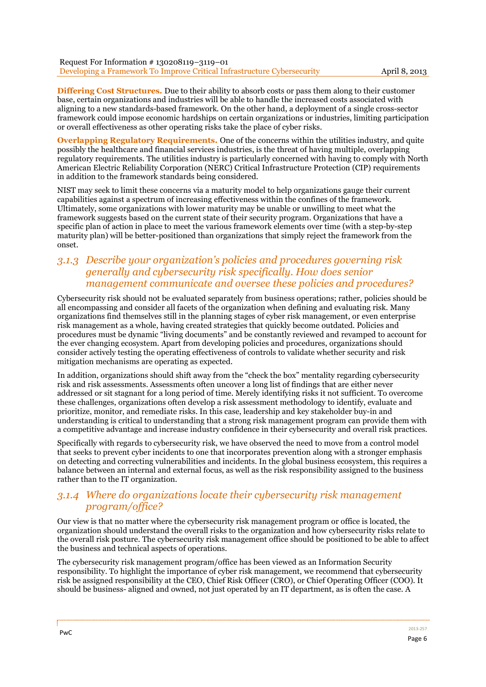**Differing Cost Structures.** Due to their ability to absorb costs or pass them along to their customer base, certain organizations and industries will be able to handle the increased costs associated with aligning to a new standards-based framework. On the other hand, a deployment of a single cross-sector framework could impose economic hardships on certain organizations or industries, limiting participation or overall effectiveness as other operating risks take the place of cyber risks.

**Overlapping Regulatory Requirements.** One of the concerns within the utilities industry, and quite possibly the healthcare and financial services industries, is the threat of having multiple, overlapping regulatory requirements. The utilities industry is particularly concerned with having to comply with North American Electric Reliability Corporation (NERC) Critical Infrastructure Protection (CIP) requirements in addition to the framework standards being considered.

NIST may seek to limit these concerns via a maturity model to help organizations gauge their current capabilities against a spectrum of increasing effectiveness within the confines of the framework. Ultimately, some organizations with lower maturity may be unable or unwilling to meet what the framework suggests based on the current state of their security program. Organizations that have a specific plan of action in place to meet the various framework elements over time (with a step-by-step maturity plan) will be better-positioned than organizations that simply reject the framework from the onset.

### *3.1.3 Describe your organization's policies and procedures governing risk generally and cybersecurity risk specifically. How does senior management communicate and oversee these policies and procedures?*

Cybersecurity risk should not be evaluated separately from business operations; rather, policies should be all encompassing and consider all facets of the organization when defining and evaluating risk. Many organizations find themselves still in the planning stages of cyber risk management, or even enterprise risk management as a whole, having created strategies that quickly become outdated. Policies and procedures must be dynamic "living documents" and be constantly reviewed and revamped to account for the ever changing ecosystem. Apart from developing policies and procedures, organizations should consider actively testing the operating effectiveness of controls to validate whether security and risk mitigation mechanisms are operating as expected.

In addition, organizations should shift away from the "check the box" mentality regarding cybersecurity risk and risk assessments. Assessments often uncover a long list of findings that are either never addressed or sit stagnant for a long period of time. Merely identifying risks it not sufficient. To overcome these challenges, organizations often develop a risk assessment methodology to identify, evaluate and prioritize, monitor, and remediate risks. In this case, leadership and key stakeholder buy-in and understanding is critical to understanding that a strong risk management program can provide them with a competitive advantage and increase industry confidence in their cybersecurity and overall risk practices.

Specifically with regards to cybersecurity risk, we have observed the need to move from a control model that seeks to prevent cyber incidents to one that incorporates prevention along with a stronger emphasis on detecting and correcting vulnerabilities and incidents. In the global business ecosystem, this requires a balance between an internal and external focus, as well as the risk responsibility assigned to the business rather than to the IT organization.

### *3.1.4 Where do organizations locate their cybersecurity risk management program/office?*

Our view is that no matter where the cybersecurity risk management program or office is located, the organization should understand the overall risks to the organization and how cybersecurity risks relate to the overall risk posture. The cybersecurity risk management office should be positioned to be able to affect the business and technical aspects of operations.

The cybersecurity risk management program/office has been viewed as an Information Security responsibility. To highlight the importance of cyber risk management, we recommend that cybersecurity risk be assigned responsibility at the CEO, Chief Risk Officer (CRO), or Chief Operating Officer (COO). It should be business- aligned and owned, not just operated by an IT department, as is often the case. A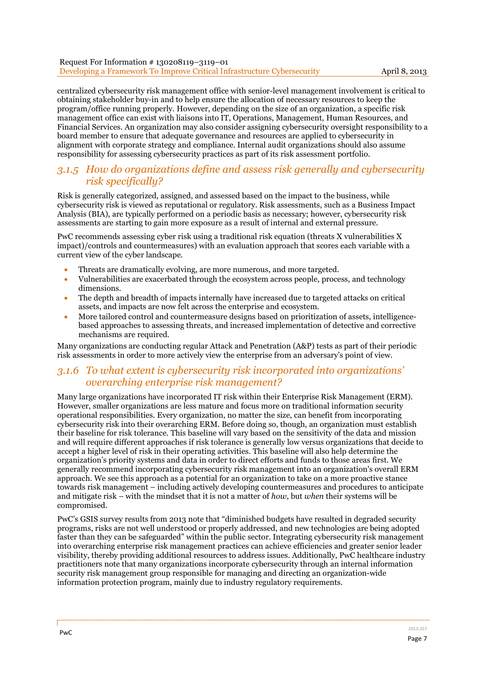centralized cybersecurity risk management office with senior-level management involvement is critical to obtaining stakeholder buy-in and to help ensure the allocation of necessary resources to keep the program/office running properly. However, depending on the size of an organization, a specific risk management office can exist with liaisons into IT, Operations, Management, Human Resources, and Financial Services. An organization may also consider assigning cybersecurity oversight responsibility to a board member to ensure that adequate governance and resources are applied to cybersecurity in alignment with corporate strategy and compliance. Internal audit organizations should also assume responsibility for assessing cybersecurity practices as part of its risk assessment portfolio.

### *3.1.5 How do organizations define and assess risk generally and cybersecurity risk specifically?*

Risk is generally categorized, assigned, and assessed based on the impact to the business, while cybersecurity risk is viewed as reputational or regulatory. Risk assessments, such as a Business Impact Analysis (BIA), are typically performed on a periodic basis as necessary; however, cybersecurity risk assessments are starting to gain more exposure as a result of internal and external pressure.

PwC recommends assessing cyber risk using a traditional risk equation (threats X vulnerabilities X impact)/controls and countermeasures) with an evaluation approach that scores each variable with a current view of the cyber landscape.

- Threats are dramatically evolving, are more numerous, and more targeted.
- Vulnerabilities are exacerbated through the ecosystem across people, process, and technology dimensions.
- The depth and breadth of impacts internally have increased due to targeted attacks on critical assets, and impacts are now felt across the enterprise and ecosystem.
- More tailored control and countermeasure designs based on prioritization of assets, intelligencebased approaches to assessing threats, and increased implementation of detective and corrective mechanisms are required.

Many organizations are conducting regular Attack and Penetration (A&P) tests as part of their periodic risk assessments in order to more actively view the enterprise from an adversary's point of view.

### *3.1.6 To what extent is cybersecurity risk incorporated into organizations' overarching enterprise risk management?*

Many large organizations have incorporated IT risk within their Enterprise Risk Management (ERM). However, smaller organizations are less mature and focus more on traditional information security operational responsibilities. Every organization, no matter the size, can benefit from incorporating cybersecurity risk into their overarching ERM. Before doing so, though, an organization must establish their baseline for risk tolerance. This baseline will vary based on the sensitivity of the data and mission and will require different approaches if risk tolerance is generally low versus organizations that decide to accept a higher level of risk in their operating activities. This baseline will also help determine the organization's priority systems and data in order to direct efforts and funds to those areas first. We generally recommend incorporating cybersecurity risk management into an organization's overall ERM approach. We see this approach as a potential for an organization to take on a more proactive stance towards risk management – including actively developing countermeasures and procedures to anticipate and mitigate risk – with the mindset that it is not a matter of *how*, but *when* their systems will be compromised.

PwC's GSIS survey results from 2013 note that "diminished budgets have resulted in degraded security programs, risks are not well understood or properly addressed, and new technologies are being adopted faster than they can be safeguarded" within the public sector. Integrating cybersecurity risk management into overarching enterprise risk management practices can achieve efficiencies and greater senior leader visibility, thereby providing additional resources to address issues. Additionally, PwC healthcare industry practitioners note that many organizations incorporate cybersecurity through an internal information security risk management group responsible for managing and directing an organization-wide information protection program, mainly due to industry regulatory requirements.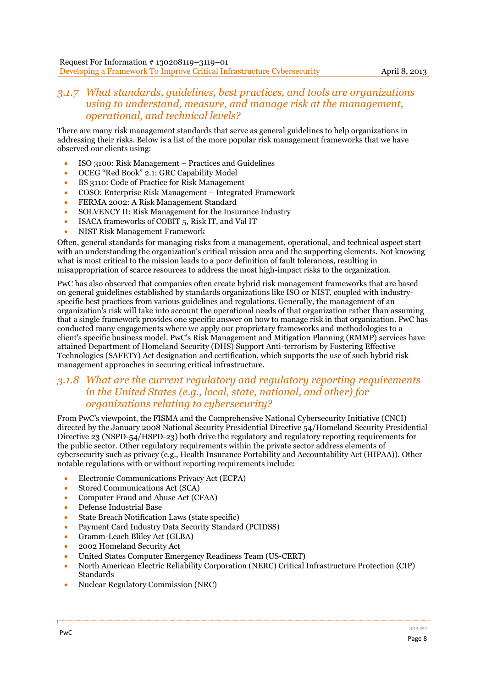### *3.1.7 What standards, guidelines, best practices, and tools are organizations using to understand, measure, and manage risk at the management, operational, and technical levels?*

There are many risk management standards that serve as general guidelines to help organizations in addressing their risks. Below is a list of the more popular risk management frameworks that we have observed our clients using:

- ISO 3100: Risk Management Practices and Guidelines
- OCEG "Red Book" 2.1: GRC Capability Model
- BS 3110: Code of Practice for Risk Management
- COSO: Enterprise Risk Management Integrated Framework
- FERMA 2002: A Risk Management Standard
- SOLVENCY II: Risk Management for the Insurance Industry
- ISACA frameworks of COBIT 5, Risk IT, and Val IT
- NIST Risk Management Framework

Often, general standards for managing risks from a management, operational, and technical aspect start with an understanding the organization's critical mission area and the supporting elements. Not knowing what is most critical to the mission leads to a poor definition of fault tolerances, resulting in misappropriation of scarce resources to address the most high-impact risks to the organization.

PwC has also observed that companies often create hybrid risk management frameworks that are based on general guidelines established by standards organizations like ISO or NIST, coupled with industryspecific best practices from various guidelines and regulations. Generally, the management of an organization's risk will take into account the operational needs of that organization rather than assuming that a single framework provides one specific answer on how to manage risk in that organization. PwC has conducted many engagements where we apply our proprietary frameworks and methodologies to a client's specific business model. PwC's Risk Management and Mitigation Planning (RMMP) services have attained Department of Homeland Security (DHS) Support Anti-terrorism by Fostering Effective Technologies (SAFETY) Act designation and certification, which supports the use of such hybrid risk management approaches in securing critical infrastructure.

### *3.1.8 What are the current regulatory and regulatory reporting requirements in the United States (e.g., local, state, national, and other) for organizations relating to cybersecurity?*

From PwC's viewpoint, the FISMA and the Comprehensive National Cybersecurity Initiative (CNCI) directed by the January 2008 National Security Presidential Directive 54/Homeland Security Presidential Directive 23 (NSPD-54/HSPD-23) both drive the regulatory and regulatory reporting requirements for the public sector. Other regulatory requirements within the private sector address elements of cybersecurity such as privacy (e.g., Health Insurance Portability and Accountability Act (HIPAA)). Other notable regulations with or without reporting requirements include:

- Electronic Communications Privacy Act (ECPA)
- Stored Communications Act (SCA)
- Computer Fraud and Abuse Act (CFAA)
- Defense Industrial Base
- State Breach Notification Laws (state specific)
- Payment Card Industry Data Security Standard (PCIDSS)
- Gramm-Leach Bliley Act (GLBA)
- 2002 Homeland Security Act
- United States Computer Emergency Readiness Team (US-CERT)
- North American Electric Reliability Corporation (NERC) Critical Infrastructure Protection (CIP) Standards
- Nuclear Regulatory Commission (NRC)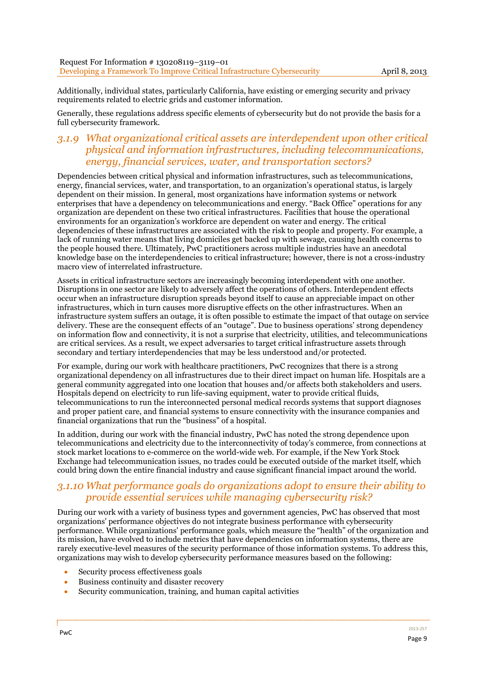Additionally, individual states, particularly California, have existing or emerging security and privacy requirements related to electric grids and customer information.

Generally, these regulations address specific elements of cybersecurity but do not provide the basis for a full cybersecurity framework.

### *3.1.9 What organizational critical assets are interdependent upon other critical physical and information infrastructures, including telecommunications, energy, financial services, water, and transportation sectors?*

Dependencies between critical physical and information infrastructures, such as telecommunications, energy, financial services, water, and transportation, to an organization's operational status, is largely dependent on their mission. In general, most organizations have information systems or network enterprises that have a dependency on telecommunications and energy. "Back Office" operations for any organization are dependent on these two critical infrastructures. Facilities that house the operational environments for an organization's workforce are dependent on water and energy. The critical dependencies of these infrastructures are associated with the risk to people and property. For example, a lack of running water means that living domiciles get backed up with sewage, causing health concerns to the people housed there. Ultimately, PwC practitioners across multiple industries have an anecdotal knowledge base on the interdependencies to critical infrastructure; however, there is not a cross-industry macro view of interrelated infrastructure.

Assets in critical infrastructure sectors are increasingly becoming interdependent with one another. Disruptions in one sector are likely to adversely affect the operations of others. Interdependent effects occur when an infrastructure disruption spreads beyond itself to cause an appreciable impact on other infrastructures, which in turn causes more disruptive effects on the other infrastructures. When an infrastructure system suffers an outage, it is often possible to estimate the impact of that outage on service delivery. These are the consequent effects of an "outage". Due to business operations' strong dependency on information flow and connectivity, it is not a surprise that electricity, utilities, and telecommunications are critical services. As a result, we expect adversaries to target critical infrastructure assets through secondary and tertiary interdependencies that may be less understood and/or protected.

For example, during our work with healthcare practitioners, PwC recognizes that there is a strong organizational dependency on all infrastructures due to their direct impact on human life. Hospitals are a general community aggregated into one location that houses and/or affects both stakeholders and users. Hospitals depend on electricity to run life-saving equipment, water to provide critical fluids, telecommunications to run the interconnected personal medical records systems that support diagnoses and proper patient care, and financial systems to ensure connectivity with the insurance companies and financial organizations that run the "business" of a hospital.

In addition, during our work with the financial industry, PwC has noted the strong dependence upon telecommunications and electricity due to the interconnectivity of today's commerce, from connections at stock market locations to e-commerce on the world-wide web. For example, if the New York Stock Exchange had telecommunication issues, no trades could be executed outside of the market itself, which could bring down the entire financial industry and cause significant financial impact around the world.

### *3.1.10 What performance goals do organizations adopt to ensure their ability to provide essential services while managing cybersecurity risk?*

During our work with a variety of business types and government agencies, PwC has observed that most organizations' performance objectives do not integrate business performance with cybersecurity performance. While organizations' performance goals, which measure the "health" of the organization and its mission, have evolved to include metrics that have dependencies on information systems, there are rarely executive-level measures of the security performance of those information systems. To address this, organizations may wish to develop cybersecurity performance measures based on the following:

- Security process effectiveness goals
- Business continuity and disaster recovery
- Security communication, training, and human capital activities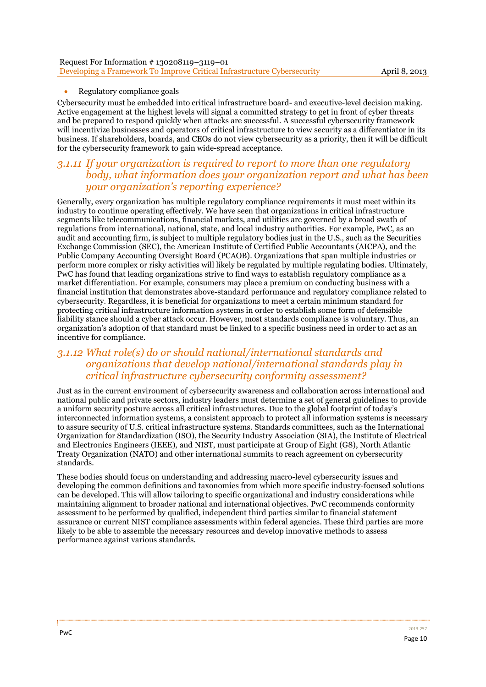| Request For Information #130208119-3119-01                              |  |
|-------------------------------------------------------------------------|--|
| Developing a Framework To Improve Critical Infrastructure Cybersecurity |  |

#### Regulatory compliance goals

Cybersecurity must be embedded into critical infrastructure board- and executive-level decision making. Active engagement at the highest levels will signal a committed strategy to get in front of cyber threats and be prepared to respond quickly when attacks are successful. A successful cybersecurity framework will incentivize businesses and operators of critical infrastructure to view security as a differentiator in its business. If shareholders, boards, and CEOs do not view cybersecurity as a priority, then it will be difficult for the cybersecurity framework to gain wide-spread acceptance.

### *3.1.11 If your organization is required to report to more than one regulatory body, what information does your organization report and what has been your organization's reporting experience?*

Generally, every organization has multiple regulatory compliance requirements it must meet within its industry to continue operating effectively. We have seen that organizations in critical infrastructure segments like telecommunications, financial markets, and utilities are governed by a broad swath of regulations from international, national, state, and local industry authorities. For example, PwC, as an audit and accounting firm, is subject to multiple regulatory bodies just in the U.S., such as the Securities Exchange Commission (SEC), the American Institute of Certified Public Accountants (AICPA), and the Public Company Accounting Oversight Board (PCAOB). Organizations that span multiple industries or perform more complex or risky activities will likely be regulated by multiple regulating bodies. Ultimately, PwC has found that leading organizations strive to find ways to establish regulatory compliance as a market differentiation. For example, consumers may place a premium on conducting business with a financial institution that demonstrates above-standard performance and regulatory compliance related to cybersecurity. Regardless, it is beneficial for organizations to meet a certain minimum standard for protecting critical infrastructure information systems in order to establish some form of defensible liability stance should a cyber attack occur. However, most standards compliance is voluntary. Thus, an organization's adoption of that standard must be linked to a specific business need in order to act as an incentive for compliance.

### *3.1.12 What role(s) do or should national/international standards and organizations that develop national/international standards play in critical infrastructure cybersecurity conformity assessment?*

Just as in the current environment of cybersecurity awareness and collaboration across international and national public and private sectors, industry leaders must determine a set of general guidelines to provide a uniform security posture across all critical infrastructures. Due to the global footprint of today's interconnected information systems, a consistent approach to protect all information systems is necessary to assure security of U.S. critical infrastructure systems. Standards committees, such as the International Organization for Standardization (ISO), the Security Industry Association (SIA), the Institute of Electrical and Electronics Engineers (IEEE), and NIST, must participate at Group of Eight (G8), North Atlantic Treaty Organization (NATO) and other international summits to reach agreement on cybersecurity standards.

These bodies should focus on understanding and addressing macro-level cybersecurity issues and developing the common definitions and taxonomies from which more specific industry-focused solutions can be developed. This will allow tailoring to specific organizational and industry considerations while maintaining alignment to broader national and international objectives. PwC recommends conformity assessment to be performed by qualified, independent third parties similar to financial statement assurance or current NIST compliance assessments within federal agencies. These third parties are more likely to be able to assemble the necessary resources and develop innovative methods to assess performance against various standards.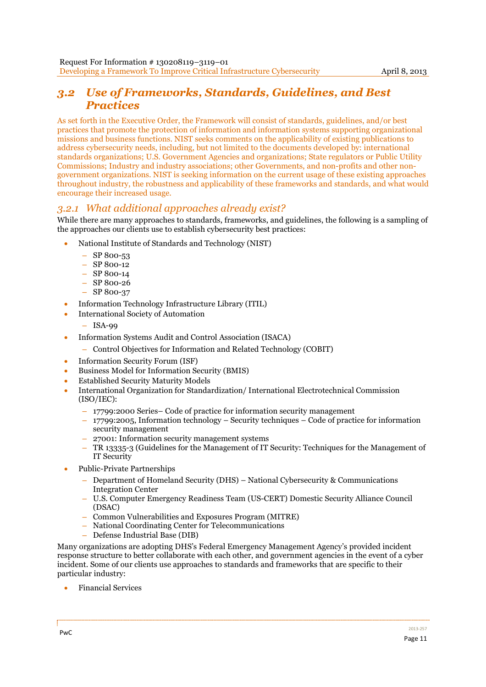## *3.2 Use of Frameworks, Standards, Guidelines, and Best Practices*

As set forth in the Executive Order, the Framework will consist of standards, guidelines, and/or best practices that promote the protection of information and information systems supporting organizational missions and business functions. NIST seeks comments on the applicability of existing publications to address cybersecurity needs, including, but not limited to the documents developed by: international standards organizations; U.S. Government Agencies and organizations; State regulators or Public Utility Commissions; Industry and industry associations; other Governments, and non-profits and other nongovernment organizations. NIST is seeking information on the current usage of these existing approaches throughout industry, the robustness and applicability of these frameworks and standards, and what would encourage their increased usage.

### *3.2.1 What additional approaches already exist?*

While there are many approaches to standards, frameworks, and guidelines, the following is a sampling of the approaches our clients use to establish cybersecurity best practices:

- National Institute of Standards and Technology (NIST)
	- $-$  SP 800-53
	- $-$  SP 800-12
	- $-$  SP 800-14
	- $-$  SP 800-26
	- $-$  SP 800-37
- Information Technology Infrastructure Library (ITIL)
- International Society of Automation
	- $-$  ISA-00
- Information Systems Audit and Control Association (ISACA)
	- – Control Objectives for Information and Related Technology (COBIT)
- Information Security Forum (ISF)
- Business Model for Information Security (BMIS)
- Established Security Maturity Models
- International Organization for Standardization/ International Electrotechnical Commission (ISO/IEC):
	- 17799:2000 Series– Code of practice for information security management
	- $17799:2005$ , Information technology Security techniques Code of practice for information security management
	- 27001: Information security management systems
	- TR 13335-3 (Guidelines for the Management of IT Security: Techniques for the Management of IT Security
- Public-Private Partnerships
	- $\overline{\phantom{a}}$  Department of Homeland Security (DHS) National Cybersecurity & Communications Integration Center
	- – U.S. Computer Emergency Readiness Team (US-CERT) Domestic Security Alliance Council (DSAC)
	- – Common Vulnerabilities and Exposures Program (MITRE)
	- – National Coordinating Center for Telecommunications
	- Defense Industrial Base (DIB)

Many organizations are adopting DHS's Federal Emergency Management Agency's provided incident response structure to better collaborate with each other, and government agencies in the event of a cyber incident. Some of our clients use approaches to standards and frameworks that are specific to their particular industry:

Financial Services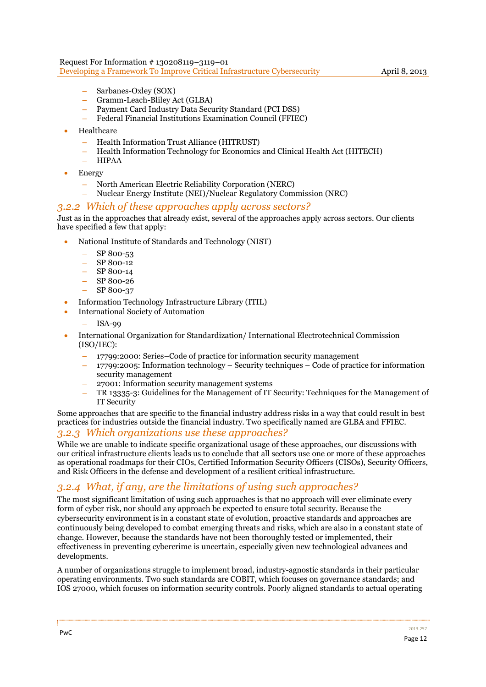- Sarbanes-Oxley (SOX)
- – Gramm-Leach-Bliley Act (GLBA)
- – Payment Card Industry Data Security Standard (PCI DSS)
- Federal Financial Institutions Examination Council (FFIEC)
- Healthcare
	- – Health Information Trust Alliance (HITRUST)
	- – Health Information Technology for Economics and Clinical Health Act (HITECH)
	- – HIPAA
- Energy
	- – North American Electric Reliability Corporation (NERC)
	- – Nuclear Energy Institute (NEI)/Nuclear Regulatory Commission (NRC)

#### *3.2.2 Which of these approaches apply across sectors?*

Just as in the approaches that already exist, several of the approaches apply across sectors. Our clients have specified a few that apply:

- National Institute of Standards and Technology (NIST)
	- $-$  SP 800-53
	- SP 800-12
	- $-$  SP 800-14
	- – SP 800-26
	- $-$  SP 800-37
- Information Technology Infrastructure Library (ITIL)
- International Society of Automation
	- $ISA-99$
- International Organization for Standardization/International Electrotechnical Commission (ISO/IEC):
	- 17799:2000: Series–Code of practice for information security management
	- $17799:2005$ : Information technology Security techniques Code of practice for information security management
	- 27001: Information security management systems
	- TR 13335-3: Guidelines for the Management of IT Security: Techniques for the Management of IT Security

Some approaches that are specific to the financial industry address risks in a way that could result in best practices for industries outside the financial industry. Two specifically named are GLBA and FFIEC.

### *3.2.3 Which organizations use these approaches?*

While we are unable to indicate specific organizational usage of these approaches, our discussions with our critical infrastructure clients leads us to conclude that all sectors use one or more of these approaches as operational roadmaps for their CIOs, Certified Information Security Officers (CISOs), Security Officers, and Risk Officers in the defense and development of a resilient critical infrastructure.

### *3.2.4 What, if any, are the limitations of using such approaches?*

The most significant limitation of using such approaches is that no approach will ever eliminate every form of cyber risk, nor should any approach be expected to ensure total security. Because the cybersecurity environment is in a constant state of evolution, proactive standards and approaches are continuously being developed to combat emerging threats and risks, which are also in a constant state of change. However, because the standards have not been thoroughly tested or implemented, their effectiveness in preventing cybercrime is uncertain, especially given new technological advances and developments.

A number of organizations struggle to implement broad, industry-agnostic standards in their particular operating environments. Two such standards are COBIT, which focuses on governance standards; and IOS 27000, which focuses on information security controls. Poorly aligned standards to actual operating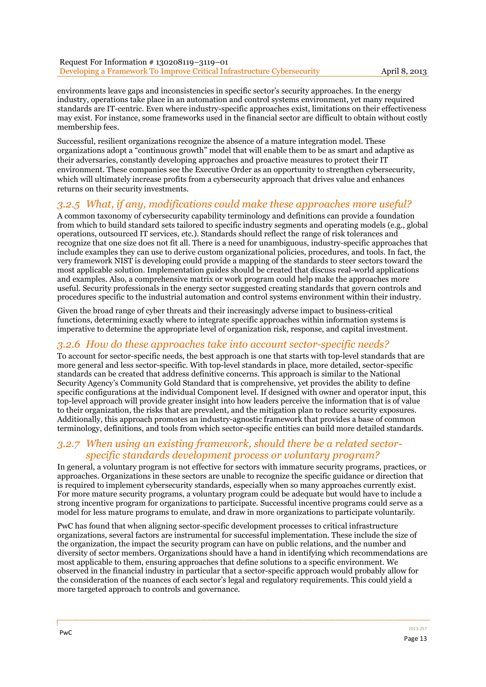environments leave gaps and inconsistencies in specific sector's security approaches. In the energy industry, operations take place in an automation and control systems environment, yet many required standards are IT-centric. Even where industry-specific approaches exist, limitations on their effectiveness may exist. For instance, some frameworks used in the financial sector are difficult to obtain without costly membership fees.

Successful, resilient organizations recognize the absence of a mature integration model. These organizations adopt a "continuous growth" model that will enable them to be as smart and adaptive as their adversaries, constantly developing approaches and proactive measures to protect their IT environment. These companies see the Executive Order as an opportunity to strengthen cybersecurity, which will ultimately increase profits from a cybersecurity approach that drives value and enhances returns on their security investments.

### *3.2.5 What, if any, modifications could make these approaches more useful?*

A common taxonomy of cybersecurity capability terminology and definitions can provide a foundation from which to build standard sets tailored to specific industry segments and operating models (e.g., global operations, outsourced IT services, etc.). Standards should reflect the range of risk tolerances and recognize that one size does not fit all. There is a need for unambiguous, industry-specific approaches that include examples they can use to derive custom organizational policies, procedures, and tools. In fact, the very framework NIST is developing could provide a mapping of the standards to steer sectors toward the most applicable solution. Implementation guides should be created that discuss real-world applications and examples. Also, a comprehensive matrix or work program could help make the approaches more useful. Security professionals in the energy sector suggested creating standards that govern controls and procedures specific to the industrial automation and control systems environment within their industry.

Given the broad range of cyber threats and their increasingly adverse impact to business-critical functions, determining exactly where to integrate specific approaches within information systems is imperative to determine the appropriate level of organization risk, response, and capital investment.

### *3.2.6 How do these approaches take into account sector-specific needs?*

To account for sector-specific needs, the best approach is one that starts with top-level standards that are more general and less sector-specific. With top-level standards in place, more detailed, sector-specific standards can be created that address definitive concerns. This approach is similar to the National Security Agency's Community Gold Standard that is comprehensive, yet provides the ability to define specific configurations at the individual Component level. If designed with owner and operator input, this top-level approach will provide greater insight into how leaders perceive the information that is of value to their organization, the risks that are prevalent, and the mitigation plan to reduce security exposures. Additionally, this approach promotes an industry-agnostic framework that provides a base of common terminology, definitions, and tools from which sector-specific entities can build more detailed standards.

### *3.2.7 When using an existing framework, should there be a related sectorspecific standards development process or voluntary program?*

In general, a voluntary program is not effective for sectors with immature security programs, practices, or approaches. Organizations in these sectors are unable to recognize the specific guidance or direction that is required to implement cybersecurity standards, especially when so many approaches currently exist. For more mature security programs, a voluntary program could be adequate but would have to include a strong incentive program for organizations to participate. Successful incentive programs could serve as a model for less mature programs to emulate, and draw in more organizations to participate voluntarily.

PwC has found that when aligning sector-specific development processes to critical infrastructure organizations, several factors are instrumental for successful implementation. These include the size of the organization, the impact the security program can have on public relations, and the number and diversity of sector members. Organizations should have a hand in identifying which recommendations are most applicable to them, ensuring approaches that define solutions to a specific environment. We observed in the financial industry in particular that a sector-specific approach would probably allow for the consideration of the nuances of each sector's legal and regulatory requirements. This could yield a more targeted approach to controls and governance.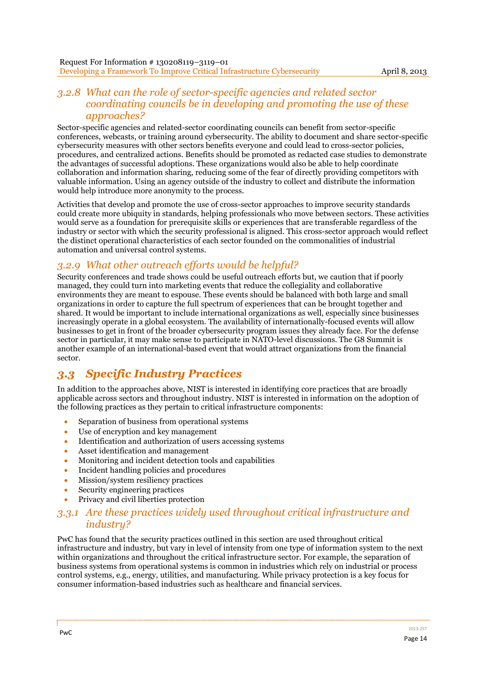### *3.2.8 What can the role of sector-specific agencies and related sector coordinating councils be in developing and promoting the use of these approaches?*

Sector-specific agencies and related-sector coordinating councils can benefit from sector-specific conferences, webcasts, or training around cybersecurity. The ability to document and share sector-specific cybersecurity measures with other sectors benefits everyone and could lead to cross-sector policies, procedures, and centralized actions. Benefits should be promoted as redacted case studies to demonstrate the advantages of successful adoptions. These organizations would also be able to help coordinate collaboration and information sharing, reducing some of the fear of directly providing competitors with valuable information. Using an agency outside of the industry to collect and distribute the information would help introduce more anonymity to the process.

Activities that develop and promote the use of cross-sector approaches to improve security standards could create more ubiquity in standards, helping professionals who move between sectors. These activities would serve as a foundation for prerequisite skills or experiences that are transferable regardless of the industry or sector with which the security professional is aligned. This cross-sector approach would reflect the distinct operational characteristics of each sector founded on the commonalities of industrial automation and universal control systems.

## *3.2.9 What other outreach efforts would be helpful?*

Security conferences and trade shows could be useful outreach efforts but, we caution that if poorly managed, they could turn into marketing events that reduce the collegiality and collaborative environments they are meant to espouse. These events should be balanced with both large and small organizations in order to capture the full spectrum of experiences that can be brought together and shared. It would be important to include international organizations as well, especially since businesses increasingly operate in a global ecosystem. The availability of internationally-focused events will allow businesses to get in front of the broader cybersecurity program issues they already face. For the defense sector in particular, it may make sense to participate in NATO-level discussions. The G8 Summit is another example of an international-based event that would attract organizations from the financial sector.

# *3.3 Specific Industry Practices*

In addition to the approaches above, NIST is interested in identifying core practices that are broadly applicable across sectors and throughout industry. NIST is interested in information on the adoption of the following practices as they pertain to critical infrastructure components:

- Separation of business from operational systems
- Use of encryption and key management
- Identification and authorization of users accessing systems
- Asset identification and management
- Monitoring and incident detection tools and capabilities
- Incident handling policies and procedures
- Mission/system resiliency practices
- Security engineering practices
- Privacy and civil liberties protection

### *3.3.1 Are these practices widely used throughout critical infrastructure and industry?*

PwC has found that the security practices outlined in this section are used throughout critical infrastructure and industry, but vary in level of intensity from one type of information system to the next within organizations and throughout the critical infrastructure sector. For example, the separation of business systems from operational systems is common in industries which rely on industrial or process control systems, e.g., energy, utilities, and manufacturing. While privacy protection is a key focus for consumer information-based industries such as healthcare and financial services.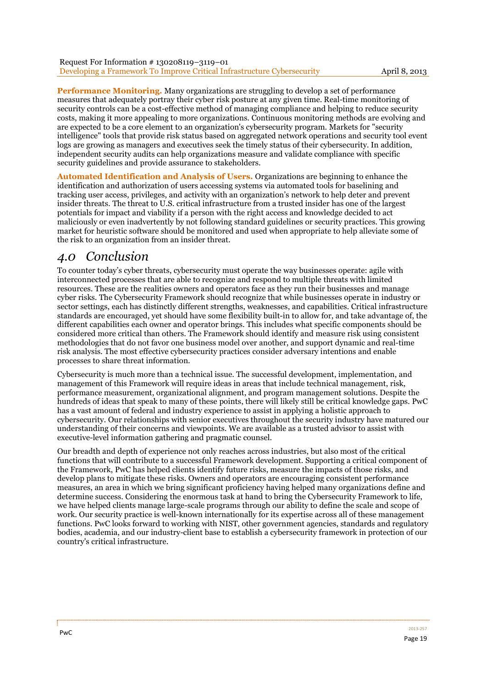**Performance Monitoring.** Many organizations are struggling to develop a set of performance measures that adequately portray their cyber risk posture at any given time. Real-time monitoring of security controls can be a cost-effective method of managing compliance and helping to reduce security costs, making it more appealing to more organizations. Continuous monitoring methods are evolving and are expected to be a core element to an organization's cybersecurity program. Markets for "security intelligence" tools that provide risk status based on aggregated network operations and security tool event logs are growing as managers and executives seek the timely status of their cybersecurity. In addition, independent security audits can help organizations measure and validate compliance with specific security guidelines and provide assurance to stakeholders.

**Automated Identification and Analysis of Users.** Organizations are beginning to enhance the identification and authorization of users accessing systems via automated tools for baselining and tracking user access, privileges, and activity with an organization's network to help deter and prevent insider threats. The threat to U.S. critical infrastructure from a trusted insider has one of the largest potentials for impact and viability if a person with the right access and knowledge decided to act maliciously or even inadvertently by not following standard guidelines or security practices. This growing market for heuristic software should be monitored and used when appropriate to help alleviate some of the risk to an organization from an insider threat.

# *4.0 Conclusion*

To counter today's cyber threats, cybersecurity must operate the way businesses operate: agile with interconnected processes that are able to recognize and respond to multiple threats with limited resources. These are the realities owners and operators face as they run their businesses and manage cyber risks. The Cybersecurity Framework should recognize that while businesses operate in industry or sector settings, each has distinctly different strengths, weaknesses, and capabilities. Critical infrastructure standards are encouraged, yet should have some flexibility built-in to allow for, and take advantage of, the different capabilities each owner and operator brings. This includes what specific components should be considered more critical than others. The Framework should identify and measure risk using consistent methodologies that do not favor one business model over another, and support dynamic and real-time risk analysis. The most effective cybersecurity practices consider adversary intentions and enable processes to share threat information.

Cybersecurity is much more than a technical issue. The successful development, implementation, and management of this Framework will require ideas in areas that include technical management, risk, performance measurement, organizational alignment, and program management solutions. Despite the hundreds of ideas that speak to many of these points, there will likely still be critical knowledge gaps. PwC has a vast amount of federal and industry experience to assist in applying a holistic approach to cybersecurity. Our relationships with senior executives throughout the security industry have matured our understanding of their concerns and viewpoints. We are available as a trusted advisor to assist with executive-level information gathering and pragmatic counsel.

Our breadth and depth of experience not only reaches across industries, but also most of the critical functions that will contribute to a successful Framework development. Supporting a critical component of the Framework, PwC has helped clients identify future risks, measure the impacts of those risks, and develop plans to mitigate these risks. Owners and operators are encouraging consistent performance measures, an area in which we bring significant proficiency having helped many organizations define and determine success. Considering the enormous task at hand to bring the Cybersecurity Framework to life, we have helped clients manage large-scale programs through our ability to define the scale and scope of work. Our security practice is well-known internationally for its expertise across all of these management functions. PwC looks forward to working with NIST, other government agencies, standards and regulatory bodies, academia, and our industry-client base to establish a cybersecurity framework in protection of our country's critical infrastructure.